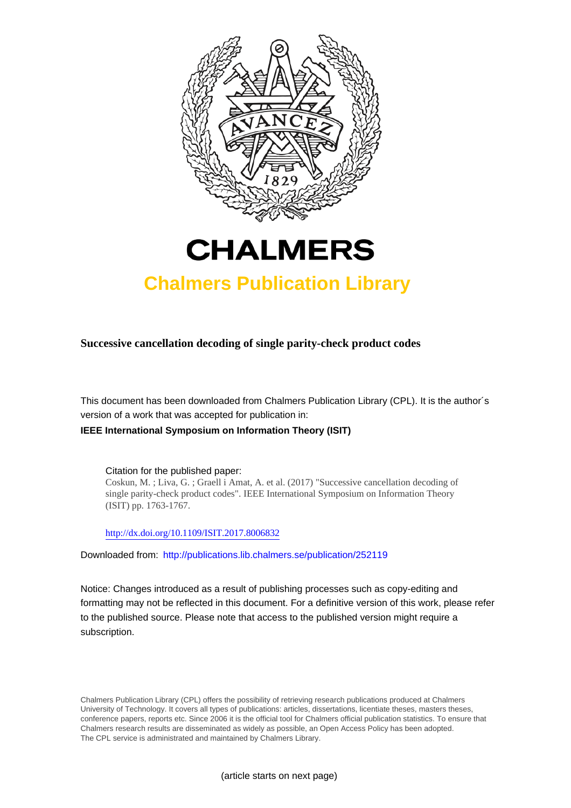



# **Chalmers Publication Library**

**Successive cancellation decoding of single parity-check product codes**

This document has been downloaded from Chalmers Publication Library (CPL). It is the author´s version of a work that was accepted for publication in:

**IEEE International Symposium on Information Theory (ISIT)**

Citation for the published paper: Coskun, M. ; Liva, G. ; Graell i Amat, A. et al. (2017) "Successive cancellation decoding of single parity-check product codes". IEEE International Symposium on Information Theory (ISIT) pp. 1763-1767.

<http://dx.doi.org/10.1109/ISIT.2017.8006832>

Downloaded from: <http://publications.lib.chalmers.se/publication/252119>

Notice: Changes introduced as a result of publishing processes such as copy-editing and formatting may not be reflected in this document. For a definitive version of this work, please refer to the published source. Please note that access to the published version might require a subscription.

Chalmers Publication Library (CPL) offers the possibility of retrieving research publications produced at Chalmers University of Technology. It covers all types of publications: articles, dissertations, licentiate theses, masters theses, conference papers, reports etc. Since 2006 it is the official tool for Chalmers official publication statistics. To ensure that Chalmers research results are disseminated as widely as possible, an Open Access Policy has been adopted. The CPL service is administrated and maintained by Chalmers Library.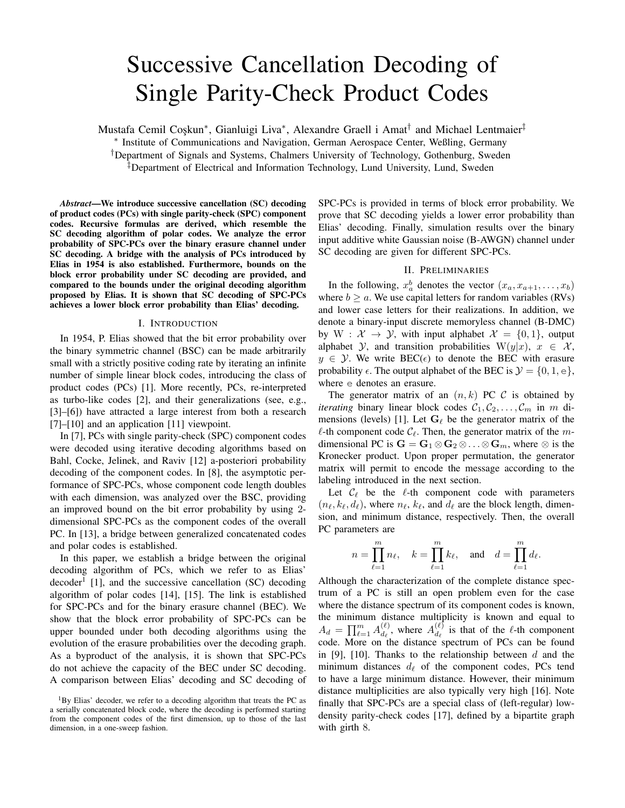# Successive Cancellation Decoding of Single Parity-Check Product Codes

Mustafa Cemil Coskun<sup>\*</sup>, Gianluigi Liva<sup>\*</sup>, Alexandre Graell i Amat<sup>†</sup> and Michael Lentmaier<sup>‡</sup>

⇤ Institute of Communications and Navigation, German Aerospace Center, Weßling, Germany

*†*Department of Signals and Systems, Chalmers University of Technology, Gothenburg, Sweden

*‡*Department of Electrical and Information Technology, Lund University, Lund, Sweden

*Abstract*—We introduce successive cancellation (SC) decoding of product codes (PCs) with single parity-check (SPC) component codes. Recursive formulas are derived, which resemble the SC decoding algorithm of polar codes. We analyze the error probability of SPC-PCs over the binary erasure channel under SC decoding. A bridge with the analysis of PCs introduced by Elias in 1954 is also established. Furthermore, bounds on the block error probability under SC decoding are provided, and compared to the bounds under the original decoding algorithm proposed by Elias. It is shown that SC decoding of SPC-PCs achieves a lower block error probability than Elias' decoding.

#### I. INTRODUCTION

In 1954, P. Elias showed that the bit error probability over the binary symmetric channel (BSC) can be made arbitrarily small with a strictly positive coding rate by iterating an infinite number of simple linear block codes, introducing the class of product codes (PCs) [1]. More recently, PCs, re-interpreted as turbo-like codes [2], and their generalizations (see, e.g., [3]–[6]) have attracted a large interest from both a research [7]–[10] and an application [11] viewpoint.

In [7], PCs with single parity-check (SPC) component codes were decoded using iterative decoding algorithms based on Bahl, Cocke, Jelinek, and Raviv [12] a-posteriori probability decoding of the component codes. In [8], the asymptotic performance of SPC-PCs, whose component code length doubles with each dimension, was analyzed over the BSC, providing an improved bound on the bit error probability by using 2 dimensional SPC-PCs as the component codes of the overall PC. In [13], a bridge between generalized concatenated codes and polar codes is established.

In this paper, we establish a bridge between the original decoding algorithm of PCs, which we refer to as Elias'  $decoder<sup>1</sup>$  [1], and the successive cancellation (SC) decoding algorithm of polar codes [14], [15]. The link is established for SPC-PCs and for the binary erasure channel (BEC). We show that the block error probability of SPC-PCs can be upper bounded under both decoding algorithms using the evolution of the erasure probabilities over the decoding graph. As a byproduct of the analysis, it is shown that SPC-PCs do not achieve the capacity of the BEC under SC decoding. A comparison between Elias' decoding and SC decoding of SPC-PCs is provided in terms of block error probability. We prove that SC decoding yields a lower error probability than Elias' decoding. Finally, simulation results over the binary input additive white Gaussian noise (B-AWGN) channel under SC decoding are given for different SPC-PCs.

# II. PRELIMINARIES

In the following,  $x_a^b$  denotes the vector  $(x_a, x_{a+1},...,x_b)$ where  $b \ge a$ . We use capital letters for random variables (RVs) and lower case letters for their realizations. In addition, we denote a binary-input discrete memoryless channel (B-DMC) by  $W : \mathcal{X} \to \mathcal{Y}$ , with input alphabet  $\mathcal{X} = \{0, 1\}$ , output alphabet *Y*, and transition probabilities  $W(y|x)$ ,  $x \in \mathcal{X}$ ,  $y \in Y$ . We write BEC( $\epsilon$ ) to denote the BEC with erasure probability  $\epsilon$ . The output alphabet of the BEC is  $\mathcal{Y} = \{0, 1, e\}$ , where e denotes an erasure.

The generator matrix of an  $(n, k)$  PC  $\mathcal C$  is obtained by *iterating* binary linear block codes  $C_1, C_2, \ldots, C_m$  in *m* dimensions (levels) [1]. Let  $G_\ell$  be the generator matrix of the  $\ell$ -th component code  $C_{\ell}$ . Then, the generator matrix of the *m*dimensional PC is  $G = G_1 \otimes G_2 \otimes \ldots \otimes G_m$ , where  $\otimes$  is the Kronecker product. Upon proper permutation, the generator matrix will permit to encode the message according to the labeling introduced in the next section.

Let  $\mathcal{C}_{\ell}$  be the  $\ell$ -th component code with parameters  $(n_\ell, k_\ell, d_\ell)$ , where  $n_\ell, k_\ell$ , and  $d_\ell$  are the block length, dimension, and minimum distance, respectively. Then, the overall PC parameters are

$$
n = \prod_{\ell=1}^m n_\ell, \quad k = \prod_{\ell=1}^m k_\ell, \quad \text{and} \quad d = \prod_{\ell=1}^m d_\ell.
$$

Although the characterization of the complete distance spectrum of a PC is still an open problem even for the case where the distance spectrum of its component codes is known, the minimum distance multiplicity is known and equal to  $A_d = \prod_{\ell=1}^m A_{d_\ell}^{(\ell)}$ , where  $A_{d_\ell}^{(\ell)}$  is that of the  $\ell$ -th component code. More on the distance spectrum of PCs can be found in [9], [10]. Thanks to the relationship between *d* and the minimum distances  $d_{\ell}$  of the component codes, PCs tend to have a large minimum distance. However, their minimum distance multiplicities are also typically very high [16]. Note finally that SPC-PCs are a special class of (left-regular) lowdensity parity-check codes [17], defined by a bipartite graph with girth 8.

 ${}^{1}$ By Elias' decoder, we refer to a decoding algorithm that treats the PC as a serially concatenated block code, where the decoding is performed starting from the component codes of the first dimension, up to those of the last dimension, in a one-sweep fashion.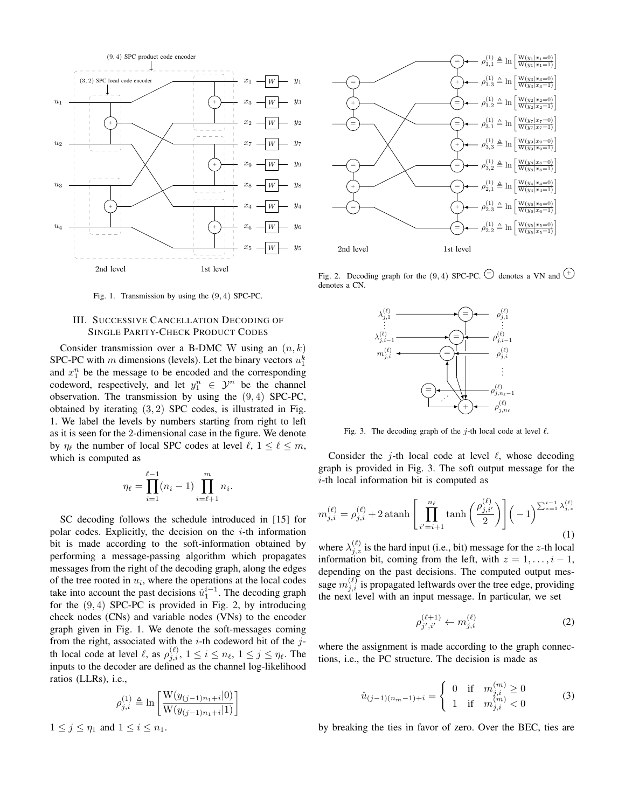

Fig. 1. Transmission by using the (9*,* 4) SPC-PC.

# III. SUCCESSIVE CANCELLATION DECODING OF SINGLE PARITY-CHECK PRODUCT CODES

Consider transmission over a B-DMC W using an (*n, k*) SPC-PC with *m* dimensions (levels). Let the binary vectors  $u_1^k$ and  $x_1^n$  be the message to be encoded and the corresponding codeword, respectively, and let  $y_1^n \in \mathcal{Y}^n$  be the channel observation. The transmission by using the (9*,* 4) SPC-PC, obtained by iterating (3*,* 2) SPC codes, is illustrated in Fig. 1. We label the levels by numbers starting from right to left as it is seen for the 2-dimensional case in the figure. We denote by  $\eta_{\ell}$  the number of local SPC codes at level  $\ell, 1 \leq \ell \leq m$ , which is computed as

$$
\eta_{\ell} = \prod_{i=1}^{\ell-1} (n_i - 1) \prod_{i=\ell+1}^m n_i.
$$

SC decoding follows the schedule introduced in [15] for polar codes. Explicitly, the decision on the *i*-th information bit is made according to the soft-information obtained by performing a message-passing algorithm which propagates messages from the right of the decoding graph, along the edges of the tree rooted in  $u_i$ , where the operations at the local codes take into account the past decisions  $\hat{u}_1^{i-1}$ . The decoding graph for the (9*,* 4) SPC-PC is provided in Fig. 2, by introducing check nodes (CNs) and variable nodes (VNs) to the encoder graph given in Fig. 1. We denote the soft-messages coming from the right, associated with the *i*-th codeword bit of the *j*th local code at level  $\ell$ , as  $\rho_{j,i}^{(\ell)}$ ,  $1 \le i \le n_\ell$ ,  $1 \le j \le \eta_\ell$ . The inputs to the decoder are defined as the channel log-likelihood ratios (LLRs), i.e.,

$$
\rho_{j,i}^{(1)} \triangleq \ln \left[ \frac{W(y_{(j-1)n_1+i}|0)}{W(y_{(j-1)n_1+i}|1)} \right]
$$

 $1 \leq j \leq \eta_1$  and  $1 \leq i \leq n_1$ .



Fig. 2. Decoding graph for the (9,4) SPC-PC.  $\bigcirc$  denotes a VN and  $\leftarrow$ denotes a CN.



Fig. 3. The decoding graph of the  $j$ -th local code at level  $\ell$ .

Consider the *j*-th local code at level  $\ell$ , whose decoding graph is provided in Fig. 3. The soft output message for the *i*-th local information bit is computed as

$$
m_{j,i}^{(\ell)} = \rho_{j,i}^{(\ell)} + 2 \operatorname{atanh}\left[\prod_{i'=i+1}^{n_{\ell}} \tanh\left(\frac{\rho_{j,i'}^{(\ell)}}{2}\right)\right] \left(-1\right)^{\sum_{z=1}^{i-1} \lambda_{j,z}^{(\ell)}}
$$
\n(1)

where  $\lambda_{j,z}^{(\ell)}$  is the hard input (i.e., bit) message for the *z*-th local information bit, coming from the left, with  $z = 1, \ldots, i - 1$ , depending on the past decisions. The computed output message  $m_{j,i}^{(\ell)}$  is propagated leftwards over the tree edge, providing the next level with an input message. In particular, we set

$$
\rho_{j',i'}^{(\ell+1)} \leftarrow m_{j,i}^{(\ell)} \tag{2}
$$

where the assignment is made according to the graph connections, i.e., the PC structure. The decision is made as

$$
\hat{u}_{(j-1)(n_m-1)+i} = \begin{cases} 0 & \text{if } m_{j,i}^{(m)} \ge 0\\ 1 & \text{if } m_{j,i}^{(m)} < 0 \end{cases}
$$
 (3)

by breaking the ties in favor of zero. Over the BEC, ties are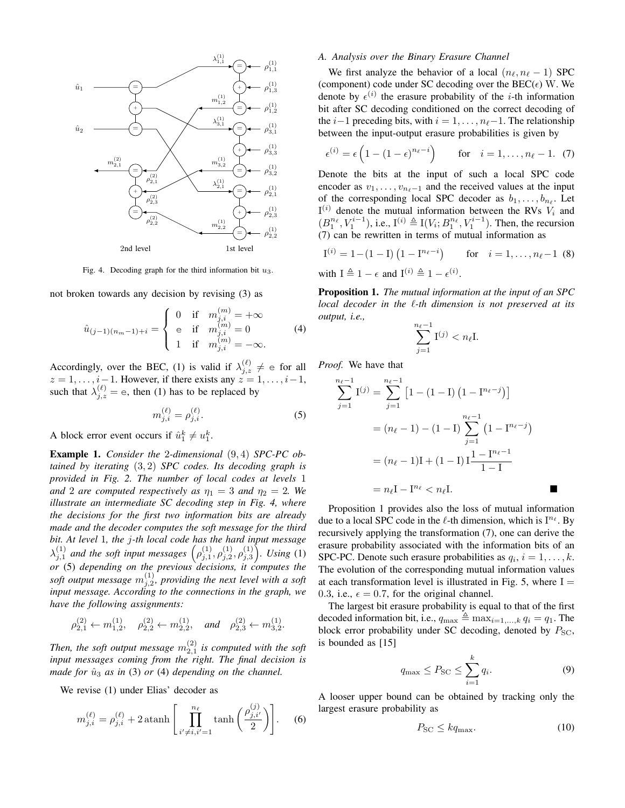

Fig. 4. Decoding graph for the third information bit *u*3.

not broken towards any decision by revising (3) as

$$
\hat{u}_{(j-1)(n_m-1)+i} = \begin{cases}\n0 & \text{if } m_{j,i}^{(m)} = +\infty \\
e & \text{if } m_{j,i}^{(m)} = 0 \\
1 & \text{if } m_{j,i}^{(m)} = -\infty.\n\end{cases}
$$
\n(4)

Accordingly, over the BEC, (1) is valid if  $\lambda_{j,z}^{(\ell)} \neq \epsilon$  for all  $z = 1, \ldots, i-1$ . However, if there exists any  $z = 1, \ldots, i-1$ , such that  $\lambda_{j,z}^{(\ell)} = e$ , then (1) has to be replaced by

$$
m_{j,i}^{(\ell)} = \rho_{j,i}^{(\ell)}.
$$
 (5)

A block error event occurs if  $\hat{u}_1^k \neq u_1^k$ .

Example 1. *Consider the* 2*-dimensional* (9*,* 4) *SPC-PC obtained by iterating* (3*,* 2) *SPC codes. Its decoding graph is provided in Fig. 2. The number of local codes at levels* 1 *and* 2 *are computed respectively as*  $\eta_1 = 3$  *and*  $\eta_2 = 2$ *. We illustrate an intermediate SC decoding step in Fig. 4, where the decisions for the first two information bits are already made and the decoder computes the soft message for the third bit. At level* 1*, the j-th local code has the hard input message*  $\lambda_{j,1}^{(1)}$  *and the soft input messages*  $(\rho_{j,1}^{(1)}, \rho_{j,2}^{(1)}, \rho_{j,3}^{(1)})$ *. Using* (1) *or* (5) *depending on the previous decisions, it computes the* soft output message  $m_{j,2}^{(1)}$ , providing the next level with a soft *input message. According to the connections in the graph, we have the following assignments:*

$$
\rho_{2,1}^{(2)} \leftarrow m_{1,2}^{(1)}, \quad \rho_{2,2}^{(2)} \leftarrow m_{2,2}^{(1)}, \quad \text{and} \quad \rho_{2,3}^{(2)} \leftarrow m_{3,2}^{(1)}.
$$

Then, the soft output message  $m_{2,1}^{(2)}$  is computed with the soft *input messages coming from the right. The final decision is made for*  $\hat{u}_3$  *as in* (3) *or* (4) *depending on the channel.* 

We revise (1) under Elias' decoder as

$$
m_{j,i}^{(\ell)} = \rho_{j,i}^{(\ell)} + 2 \operatorname{atanh}\left[\prod_{i' \neq i, i'=1}^{n_{\ell}} \tanh\left(\frac{\rho_{j,i'}^{(j)}}{2}\right)\right].
$$
 (6)

# *A. Analysis over the Binary Erasure Channel*

We first analyze the behavior of a local  $(n_\ell, n_\ell - 1)$  SPC (component) code under SC decoding over the  $BEC(\epsilon)$  W. We denote by  $\epsilon^{(i)}$  the erasure probability of the *i*-th information bit after SC decoding conditioned on the correct decoding of the  $i-1$  preceding bits, with  $i=1,\ldots,n_{\ell}-1$ . The relationship between the input-output erasure probabilities is given by

$$
\epsilon^{(i)} = \epsilon \left(1 - (1 - \epsilon)^{n_{\ell} - i}\right) \qquad \text{for} \quad i = 1, \dots, n_{\ell} - 1. \tag{7}
$$

Denote the bits at the input of such a local SPC code encoder as  $v_1, \ldots, v_{n_\ell-1}$  and the received values at the input of the corresponding local SPC decoder as  $b_1, \ldots, b_{n_\ell}$ . Let  $I^{(i)}$  denote the mutual information between the RVs  $V_i$  and  $(B_1^{n_\ell}, V_1^{i-1})$ , i.e.,  $I^{(i)} \triangleq I(V_i; B_1^{n_\ell}, V_1^{i-1})$ . Then, the recursion (7) can be rewritten in terms of mutual information as

$$
I^{(i)} = 1 - (1 - I) (1 - I^{n_{\ell} - i}) \quad \text{for} \quad i = 1, ..., n_{\ell} - 1 \tag{8}
$$

with  $I \triangleq 1 - \epsilon$  and  $I^{(i)} \triangleq 1 - \epsilon^{(i)}$ .

Proposition 1. *The mutual information at the input of an SPC local decoder in the*  $\ell$ *-th dimension is not preserved at its output, i.e.,*

$$
\sum_{j=1}^{n_{\ell}-1} \mathbf{I}^{(j)} < n_{\ell} \mathbf{I}.
$$

*Proof.* We have that

$$
\sum_{j=1}^{n_{\ell}-1} \mathbf{I}^{(j)} = \sum_{j=1}^{n_{\ell}-1} \left[ 1 - (1 - \mathbf{I}) \left( 1 - \mathbf{I}^{n_{\ell}-j} \right) \right]
$$

$$
= (n_{\ell} - 1) - (1 - \mathbf{I}) \sum_{j=1}^{n_{\ell}-1} \left( 1 - \mathbf{I}^{n_{\ell}-j} \right)
$$

$$
= (n_{\ell} - 1)\mathbf{I} + (1 - \mathbf{I}) \mathbf{I} \frac{1 - \mathbf{I}^{n_{\ell}-1}}{1 - \mathbf{I}}
$$

$$
= n_{\ell} \mathbf{I} - \mathbf{I}^{n_{\ell}} < n_{\ell} \mathbf{I}.
$$

Proposition 1 provides also the loss of mutual information due to a local SPC code in the  $\ell$ -th dimension, which is  $I^{n_{\ell}}$ . By recursively applying the transformation (7), one can derive the erasure probability associated with the information bits of an SPC-PC. Denote such erasure probabilities as  $q_i$ ,  $i = 1, \ldots, k$ . The evolution of the corresponding mutual information values at each transformation level is illustrated in Fig. 5, where  $I =$ 0.3, i.e.,  $\epsilon = 0.7$ , for the original channel.

The largest bit erasure probability is equal to that of the first decoded information bit, i.e.,  $q_{\text{max}} \triangleq \max_{i=1,\dots,k} q_i = q_1$ . The block error probability under SC decoding, denoted by  $P_{SC}$ , is bounded as [15]

$$
q_{\max} \le P_{\text{SC}} \le \sum_{i=1}^{k} q_i. \tag{9}
$$

A looser upper bound can be obtained by tracking only the largest erasure probability as

$$
P_{\rm SC} \le k q_{\rm max}.\tag{10}
$$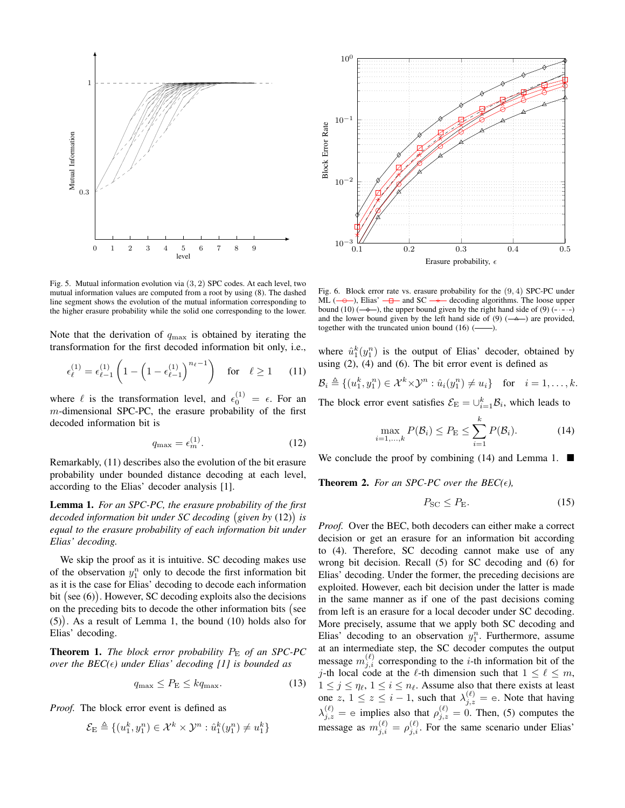

 $10^{0}$  $10^{-}$ Block Error Rate Block Error Rate  $10^{-}$ 10<sup>-3</sup> (1/<sub>2</sub> 10.2 10.3 10.4 0.5 101) Erasure probability,  $\epsilon$ 

Fig. 5. Mutual information evolution via (3*,* 2) SPC codes. At each level, two mutual information values are computed from a root by using (8). The dashed line segment shows the evolution of the mutual information corresponding to the higher erasure probability while the solid one corresponding to the lower.

Note that the derivation of *q*max is obtained by iterating the transformation for the first decoded information bit only, i.e.,

$$
\epsilon_{\ell}^{(1)} = \epsilon_{\ell-1}^{(1)} \left( 1 - \left( 1 - \epsilon_{\ell-1}^{(1)} \right)^{n_{\ell}-1} \right) \quad \text{for} \quad \ell \ge 1 \tag{11}
$$

where  $\ell$  is the transformation level, and  $\epsilon_0^{(1)} = \epsilon$ . For an *m*-dimensional SPC-PC, the erasure probability of the first decoded information bit is

$$
q_{\text{max}} = \epsilon_m^{(1)}.\tag{12}
$$

Remarkably, (11) describes also the evolution of the bit erasure probability under bounded distance decoding at each level, according to the Elias' decoder analysis [1].

Lemma 1. *For an SPC-PC, the erasure probability of the first decoded information bit under SC decoding given by* (12) *is equal to the erasure probability of each information bit under Elias' decoding.*

We skip the proof as it is intuitive. SC decoding makes use of the observation  $y_1^n$  only to decode the first information bit as it is the case for Elias' decoding to decode each information bit (see (6)). However, SC decoding exploits also the decisions on the preceding bits to decode the other information bits (see (5) . As a result of Lemma 1, the bound (10) holds also for Elias' decoding.

**Theorem 1.** *The block error probability*  $P_{\rm E}$  *of an SPC-PC over the*  $BEC(\epsilon)$  *under Elias' decoding [1] is bounded as* 

$$
q_{\max} \le P_{\rm E} \le k q_{\max}.\tag{13}
$$

*Proof.* The block error event is defined as

$$
\mathcal{E}_{\rm E} \triangleq \{(u_1^k, y_1^n) \in \mathcal{X}^k \times \mathcal{Y}^n : \hat{u}_1^k(y_1^n) \neq u_1^k\}
$$

Fig. 6. Block error rate vs. erasure probability for the (9*,* 4) SPC-PC under ML ( $\rightarrow$ ), Elias'  $\rightarrow$  and SC  $\rightarrow$  decoding algorithms. The loose upper bound (10)  $(-\rightarrow -)$ , the upper bound given by the right hand side of (9)  $(- - \rightarrow -)$ and the lower bound given by the left hand side of  $(9)$  ( $\rightarrow$ ) are provided, together with the truncated union bound  $(16)$   $(-$ 

where  $\hat{u}_1^k(y_1^n)$  is the output of Elias' decoder, obtained by using (2), (4) and (6). The bit error event is defined as

$$
\mathcal{B}_i \triangleq \{(u_1^k, y_1^n) \in \mathcal{X}^k \times \mathcal{Y}^n : \hat{u}_i(y_1^n) \neq u_i\} \quad \text{for} \quad i = 1, \dots, k.
$$

The block error event satisfies  $\mathcal{E}_{\text{E}} = \bigcup_{i=1}^{k} \mathcal{B}_i$ , which leads to

$$
\max_{i=1,\ldots,k} P(\mathcal{B}_i) \le P_{\mathcal{E}} \le \sum_{i=1}^k P(\mathcal{B}_i). \tag{14}
$$

We conclude the proof by combining (14) and Lemma 1.  $\blacksquare$ 

**Theorem 2.** For an SPC-PC over the  $BEC(\epsilon)$ ,

$$
P_{\rm SC} \le P_{\rm E}.\tag{15}
$$

*Proof.* Over the BEC, both decoders can either make a correct decision or get an erasure for an information bit according to (4). Therefore, SC decoding cannot make use of any wrong bit decision. Recall (5) for SC decoding and (6) for Elias' decoding. Under the former, the preceding decisions are exploited. However, each bit decision under the latter is made in the same manner as if one of the past decisions coming from left is an erasure for a local decoder under SC decoding. More precisely, assume that we apply both SC decoding and Elias' decoding to an observation  $y_1^n$ . Furthermore, assume at an intermediate step, the SC decoder computes the output message  $m_{j,i}^{(\ell)}$  corresponding to the *i*-th information bit of the *j*-th local code at the  $\ell$ -th dimension such that  $1 \leq \ell \leq m$ ,  $1 \leq j \leq \eta_{\ell}, 1 \leq i \leq \eta_{\ell}$ . Assume also that there exists at least one *z*,  $1 \le z \le i - 1$ , such that  $\lambda_{j,z}^{(\ell)} = e$ . Note that having  $\lambda_{j,z}^{(\ell)} = e$  implies also that  $\rho_{j,z}^{(\ell)} = 0$ . Then, (5) computes the message as  $m_{j,i}^{(\ell)} = \rho_{j,i}^{(\ell)}$ . For the same scenario under Elias'